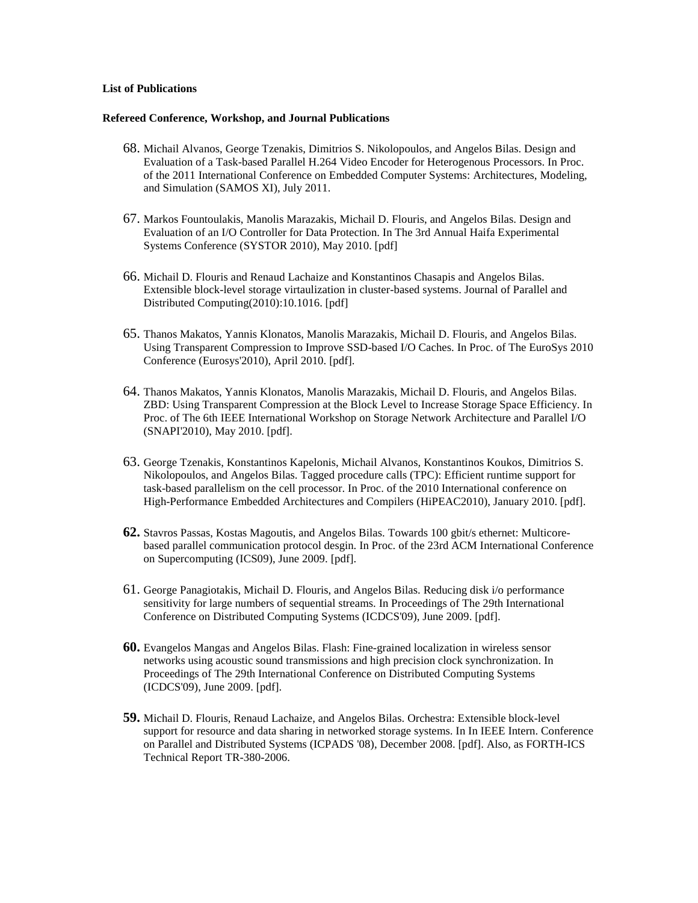## **List of Publications**

## **Refereed Conference, Workshop, and Journal Publications**

- 68. Michail Alvanos, George Tzenakis, Dimitrios S. Nikolopoulos, and Angelos Bilas. Design and Evaluation of a Task-based Parallel H.264 Video Encoder for Heterogenous Processors. In Proc. of the 2011 International Conference on Embedded Computer Systems: Architectures, Modeling, and Simulation (SAMOS XI), July 2011.
- 67. Markos Fountoulakis, Manolis Marazakis, Michail D. Flouris, and Angelos Bilas. Design and Evaluation of an I/O Controller for Data Protection. In The 3rd Annual Haifa Experimental Systems Conference (SYSTOR 2010), May 2010. [pdf]
- 66. Michail D. Flouris and Renaud Lachaize and Konstantinos Chasapis and Angelos Bilas. Extensible block-level storage virtaulization in cluster-based systems. Journal of Parallel and Distributed Computing(2010):10.1016. [pdf]
- 65. Thanos Makatos, Yannis Klonatos, Manolis Marazakis, Michail D. Flouris, and Angelos Bilas. Using Transparent Compression to Improve SSD-based I/O Caches. In Proc. of The EuroSys 2010 Conference (Eurosys'2010), April 2010. [pdf].
- 64. Thanos Makatos, Yannis Klonatos, Manolis Marazakis, Michail D. Flouris, and Angelos Bilas. ZBD: Using Transparent Compression at the Block Level to Increase Storage Space Efficiency. In Proc. of The 6th IEEE International Workshop on Storage Network Architecture and Parallel I/O (SNAPI'2010), May 2010. [pdf].
- 63. George Tzenakis, Konstantinos Kapelonis, Michail Alvanos, Konstantinos Koukos, Dimitrios S. Nikolopoulos, and Angelos Bilas. Tagged procedure calls (TPC): Efficient runtime support for task-based parallelism on the cell processor. In Proc. of the 2010 International conference on High-Performance Embedded Architectures and Compilers (HiPEAC2010), January 2010. [pdf].
- **62.** Stavros Passas, Kostas Magoutis, and Angelos Bilas. Towards 100 gbit/s ethernet: Multicorebased parallel communication protocol desgin. In Proc. of the 23rd ACM International Conference on Supercomputing (ICS09), June 2009. [pdf].
- 61. George Panagiotakis, Michail D. Flouris, and Angelos Bilas. Reducing disk i/o performance sensitivity for large numbers of sequential streams. In Proceedings of The 29th International Conference on Distributed Computing Systems (ICDCS'09), June 2009. [pdf].
- **60.** Evangelos Mangas and Angelos Bilas. Flash: Fine-grained localization in wireless sensor networks using acoustic sound transmissions and high precision clock synchronization. In Proceedings of The 29th International Conference on Distributed Computing Systems (ICDCS'09), June 2009. [pdf].
- **59.** Michail D. Flouris, Renaud Lachaize, and Angelos Bilas. Orchestra: Extensible block-level support for resource and data sharing in networked storage systems. In In IEEE Intern. Conference on Parallel and Distributed Systems (ICPADS '08), December 2008. [pdf]. Also, as FORTH-ICS Technical Report TR-380-2006.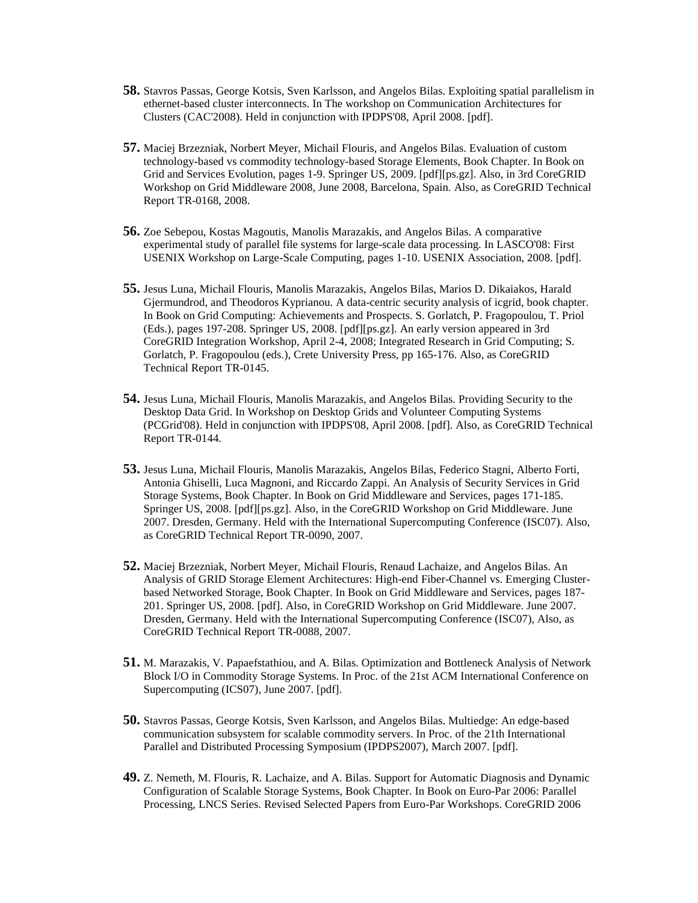- **58.** Stavros Passas, George Kotsis, Sven Karlsson, and Angelos Bilas. Exploiting spatial parallelism in ethernet-based cluster interconnects. In The workshop on Communication Architectures for Clusters (CAC'2008). Held in conjunction with IPDPS'08, April 2008. [pdf].
- **57.** Maciej Brzezniak, Norbert Meyer, Michail Flouris, and Angelos Bilas. Evaluation of custom technology-based vs commodity technology-based Storage Elements, Book Chapter. In Book on Grid and Services Evolution, pages 1-9. Springer US, 2009. [pdf][ps.gz]. Also, in 3rd CoreGRID Workshop on Grid Middleware 2008, June 2008, Barcelona, Spain. Also, as CoreGRID Technical Report TR-0168, 2008.
- **56.** Zoe Sebepou, Kostas Magoutis, Manolis Marazakis, and Angelos Bilas. A comparative experimental study of parallel file systems for large-scale data processing. In LASCO'08: First USENIX Workshop on Large-Scale Computing, pages 1-10. USENIX Association, 2008. [pdf].
- **55.** Jesus Luna, Michail Flouris, Manolis Marazakis, Angelos Bilas, Marios D. Dikaiakos, Harald Gjermundrod, and Theodoros Kyprianou. A data-centric security analysis of icgrid, book chapter. In Book on Grid Computing: Achievements and Prospects. S. Gorlatch, P. Fragopoulou, T. Priol (Eds.), pages 197-208. Springer US, 2008. [pdf][ps.gz]. An early version appeared in 3rd CoreGRID Integration Workshop, April 2-4, 2008; Integrated Research in Grid Computing; S. Gorlatch, P. Fragopoulou (eds.), Crete University Press, pp 165-176. Also, as CoreGRID Technical Report TR-0145.
- **54.** Jesus Luna, Michail Flouris, Manolis Marazakis, and Angelos Bilas. Providing Security to the Desktop Data Grid. In Workshop on Desktop Grids and Volunteer Computing Systems (PCGrid'08). Held in conjunction with IPDPS'08, April 2008. [pdf]. Also, as CoreGRID Technical Report TR-0144.
- **53.** Jesus Luna, Michail Flouris, Manolis Marazakis, Angelos Bilas, Federico Stagni, Alberto Forti, Antonia Ghiselli, Luca Magnoni, and Riccardo Zappi. An Analysis of Security Services in Grid Storage Systems, Book Chapter. In Book on Grid Middleware and Services, pages 171-185. Springer US, 2008. [pdf][ps.gz]. Also, in the CoreGRID Workshop on Grid Middleware. June 2007. Dresden, Germany. Held with the International Supercomputing Conference (ISC07). Also, as CoreGRID Technical Report TR-0090, 2007.
- **52.** Maciej Brzezniak, Norbert Meyer, Michail Flouris, Renaud Lachaize, and Angelos Bilas. An Analysis of GRID Storage Element Architectures: High-end Fiber-Channel vs. Emerging Clusterbased Networked Storage, Book Chapter. In Book on Grid Middleware and Services, pages 187- 201. Springer US, 2008. [pdf]. Also, in CoreGRID Workshop on Grid Middleware. June 2007. Dresden, Germany. Held with the International Supercomputing Conference (ISC07), Also, as CoreGRID Technical Report TR-0088, 2007.
- **51.** M. Marazakis, V. Papaefstathiou, and A. Bilas. Optimization and Bottleneck Analysis of Network Block I/O in Commodity Storage Systems. In Proc. of the 21st ACM International Conference on Supercomputing (ICS07), June 2007. [pdf].
- **50.** Stavros Passas, George Kotsis, Sven Karlsson, and Angelos Bilas. Multiedge: An edge-based communication subsystem for scalable commodity servers. In Proc. of the 21th International Parallel and Distributed Processing Symposium (IPDPS2007), March 2007. [pdf].
- **49.** Z. Nemeth, M. Flouris, R. Lachaize, and A. Bilas. Support for Automatic Diagnosis and Dynamic Configuration of Scalable Storage Systems, Book Chapter. In Book on Euro-Par 2006: Parallel Processing, LNCS Series. Revised Selected Papers from Euro-Par Workshops. CoreGRID 2006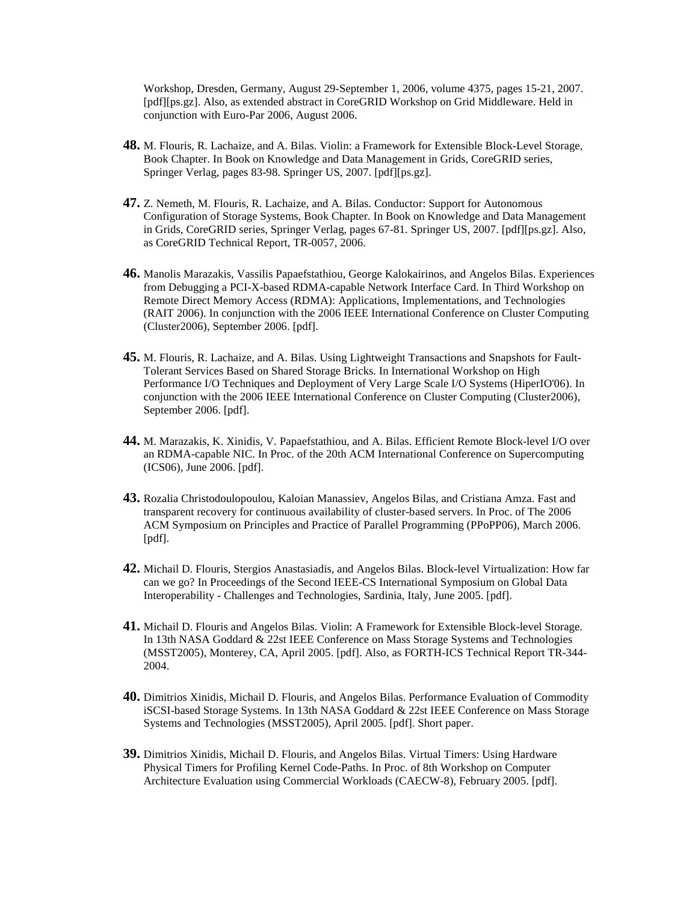Workshop, Dresden, Germany, August 29-September 1, 2006, volume 4375, pages 15-21, 2007. [pdf][ps.gz]. Also, as extended abstract in CoreGRID Workshop on Grid Middleware. Held in conjunction with Euro-Par 2006, August 2006.

- **48.** M. Flouris, R. Lachaize, and A. Bilas. Violin: a Framework for Extensible Block-Level Storage, Book Chapter. In Book on Knowledge and Data Management in Grids, CoreGRID series, Springer Verlag, pages 83-98. Springer US, 2007. [pdf][ps.gz].
- **47.** Z. Nemeth, M. Flouris, R. Lachaize, and A. Bilas. Conductor: Support for Autonomous Configuration of Storage Systems, Book Chapter. In Book on Knowledge and Data Management in Grids, CoreGRID series, Springer Verlag, pages 67-81. Springer US, 2007. [pdf][ps.gz]. Also, as CoreGRID Technical Report, TR-0057, 2006.
- **46.** Manolis Marazakis, Vassilis Papaefstathiou, George Kalokairinos, and Angelos Bilas. Experiences from Debugging a PCI-X-based RDMA-capable Network Interface Card. In Third Workshop on Remote Direct Memory Access (RDMA): Applications, Implementations, and Technologies (RAIT 2006). In conjunction with the 2006 IEEE International Conference on Cluster Computing (Cluster2006), September 2006. [pdf].
- **45.** M. Flouris, R. Lachaize, and A. Bilas. Using Lightweight Transactions and Snapshots for Fault-Tolerant Services Based on Shared Storage Bricks. In International Workshop on High Performance I/O Techniques and Deployment of Very Large Scale I/O Systems (HiperIO'06). In conjunction with the 2006 IEEE International Conference on Cluster Computing (Cluster2006), September 2006. [pdf].
- **44.** M. Marazakis, K. Xinidis, V. Papaefstathiou, and A. Bilas. Efficient Remote Block-level I/O over an RDMA-capable NIC. In Proc. of the 20th ACM International Conference on Supercomputing (ICS06), June 2006. [pdf].
- **43.** Rozalia Christodoulopoulou, Kaloian Manassiev, Angelos Bilas, and Cristiana Amza. Fast and transparent recovery for continuous availability of cluster-based servers. In Proc. of The 2006 ACM Symposium on Principles and Practice of Parallel Programming (PPoPP06), March 2006. [pdf].
- **42.** Michail D. Flouris, Stergios Anastasiadis, and Angelos Bilas. Block-level Virtualization: How far can we go? In Proceedings of the Second IEEE-CS International Symposium on Global Data Interoperability - Challenges and Technologies, Sardinia, Italy, June 2005. [pdf].
- **41.** Michail D. Flouris and Angelos Bilas. Violin: A Framework for Extensible Block-level Storage. In 13th NASA Goddard & 22st IEEE Conference on Mass Storage Systems and Technologies (MSST2005), Monterey, CA, April 2005. [pdf]. Also, as FORTH-ICS Technical Report TR-344- 2004.
- **40.** Dimitrios Xinidis, Michail D. Flouris, and Angelos Bilas. Performance Evaluation of Commodity iSCSI-based Storage Systems. In 13th NASA Goddard & 22st IEEE Conference on Mass Storage Systems and Technologies (MSST2005), April 2005. [pdf]. Short paper.
- **39.** Dimitrios Xinidis, Michail D. Flouris, and Angelos Bilas. Virtual Timers: Using Hardware Physical Timers for Profiling Kernel Code-Paths. In Proc. of 8th Workshop on Computer Architecture Evaluation using Commercial Workloads (CAECW-8), February 2005. [pdf].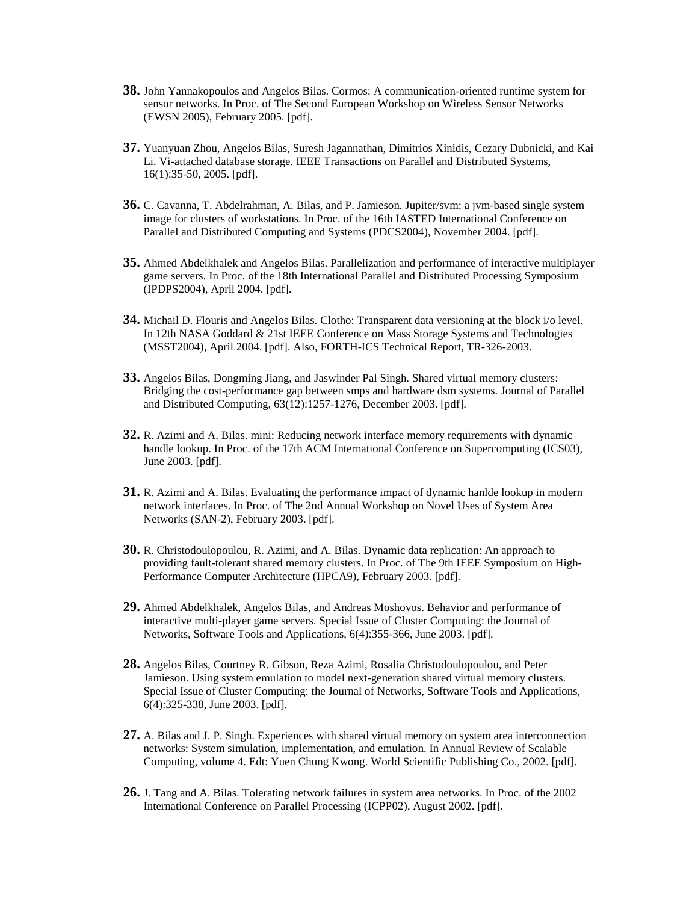- **38.** John Yannakopoulos and Angelos Bilas. Cormos: A communication-oriented runtime system for sensor networks. In Proc. of The Second European Workshop on Wireless Sensor Networks (EWSN 2005), February 2005. [pdf].
- **37.** Yuanyuan Zhou, Angelos Bilas, Suresh Jagannathan, Dimitrios Xinidis, Cezary Dubnicki, and Kai Li. Vi-attached database storage. IEEE Transactions on Parallel and Distributed Systems, 16(1):35-50, 2005. [pdf].
- **36.** C. Cavanna, T. Abdelrahman, A. Bilas, and P. Jamieson. Jupiter/svm: a jvm-based single system image for clusters of workstations. In Proc. of the 16th IASTED International Conference on Parallel and Distributed Computing and Systems (PDCS2004), November 2004. [pdf].
- **35.** Ahmed Abdelkhalek and Angelos Bilas. Parallelization and performance of interactive multiplayer game servers. In Proc. of the 18th International Parallel and Distributed Processing Symposium (IPDPS2004), April 2004. [pdf].
- **34.** Michail D. Flouris and Angelos Bilas. Clotho: Transparent data versioning at the block i/o level. In 12th NASA Goddard & 21st IEEE Conference on Mass Storage Systems and Technologies (MSST2004), April 2004. [pdf]. Also, FORTH-ICS Technical Report, TR-326-2003.
- **33.** Angelos Bilas, Dongming Jiang, and Jaswinder Pal Singh. Shared virtual memory clusters: Bridging the cost-performance gap between smps and hardware dsm systems. Journal of Parallel and Distributed Computing, 63(12):1257-1276, December 2003. [pdf].
- **32.** R. Azimi and A. Bilas. mini: Reducing network interface memory requirements with dynamic handle lookup. In Proc. of the 17th ACM International Conference on Supercomputing (ICS03), June 2003. [pdf].
- **31.** R. Azimi and A. Bilas. Evaluating the performance impact of dynamic hanlde lookup in modern network interfaces. In Proc. of The 2nd Annual Workshop on Novel Uses of System Area Networks (SAN-2), February 2003. [pdf].
- **30.** R. Christodoulopoulou, R. Azimi, and A. Bilas. Dynamic data replication: An approach to providing fault-tolerant shared memory clusters. In Proc. of The 9th IEEE Symposium on High-Performance Computer Architecture (HPCA9), February 2003. [pdf].
- **29.** Ahmed Abdelkhalek, Angelos Bilas, and Andreas Moshovos. Behavior and performance of interactive multi-player game servers. Special Issue of Cluster Computing: the Journal of Networks, Software Tools and Applications, 6(4):355-366, June 2003. [pdf].
- **28.** Angelos Bilas, Courtney R. Gibson, Reza Azimi, Rosalia Christodoulopoulou, and Peter Jamieson. Using system emulation to model next-generation shared virtual memory clusters. Special Issue of Cluster Computing: the Journal of Networks, Software Tools and Applications, 6(4):325-338, June 2003. [pdf].
- **27.** A. Bilas and J. P. Singh. Experiences with shared virtual memory on system area interconnection networks: System simulation, implementation, and emulation. In Annual Review of Scalable Computing, volume 4. Edt: Yuen Chung Kwong. World Scientific Publishing Co., 2002. [pdf].
- **26.** J. Tang and A. Bilas. Tolerating network failures in system area networks. In Proc. of the 2002 International Conference on Parallel Processing (ICPP02), August 2002. [pdf].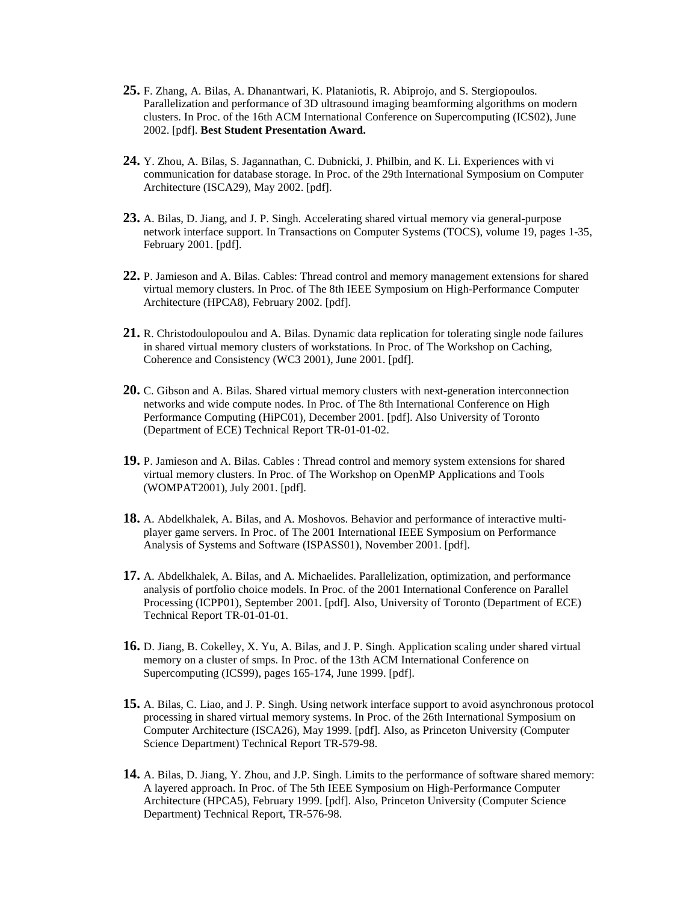- **25.** F. Zhang, A. Bilas, A. Dhanantwari, K. Plataniotis, R. Abiprojo, and S. Stergiopoulos. Parallelization and performance of 3D ultrasound imaging beamforming algorithms on modern clusters. In Proc. of the 16th ACM International Conference on Supercomputing (ICS02), June 2002. [pdf]. **Best Student Presentation Award.**
- **24.** Y. Zhou, A. Bilas, S. Jagannathan, C. Dubnicki, J. Philbin, and K. Li. Experiences with vi communication for database storage. In Proc. of the 29th International Symposium on Computer Architecture (ISCA29), May 2002. [pdf].
- **23.** A. Bilas, D. Jiang, and J. P. Singh. Accelerating shared virtual memory via general-purpose network interface support. In Transactions on Computer Systems (TOCS), volume 19, pages 1-35, February 2001. [pdf].
- **22.** P. Jamieson and A. Bilas. Cables: Thread control and memory management extensions for shared virtual memory clusters. In Proc. of The 8th IEEE Symposium on High-Performance Computer Architecture (HPCA8), February 2002. [pdf].
- **21.** R. Christodoulopoulou and A. Bilas. Dynamic data replication for tolerating single node failures in shared virtual memory clusters of workstations. In Proc. of The Workshop on Caching, Coherence and Consistency (WC3 2001), June 2001. [pdf].
- **20.** C. Gibson and A. Bilas. Shared virtual memory clusters with next-generation interconnection networks and wide compute nodes. In Proc. of The 8th International Conference on High Performance Computing (HiPC01), December 2001. [pdf]. Also University of Toronto (Department of ECE) Technical Report TR-01-01-02.
- **19.** P. Jamieson and A. Bilas. Cables : Thread control and memory system extensions for shared virtual memory clusters. In Proc. of The Workshop on OpenMP Applications and Tools (WOMPAT2001), July 2001. [pdf].
- **18.** A. Abdelkhalek, A. Bilas, and A. Moshovos. Behavior and performance of interactive multiplayer game servers. In Proc. of The 2001 International IEEE Symposium on Performance Analysis of Systems and Software (ISPASS01), November 2001. [pdf].
- **17.** A. Abdelkhalek, A. Bilas, and A. Michaelides. Parallelization, optimization, and performance analysis of portfolio choice models. In Proc. of the 2001 International Conference on Parallel Processing (ICPP01), September 2001. [pdf]. Also, University of Toronto (Department of ECE) Technical Report TR-01-01-01.
- **16.** D. Jiang, B. Cokelley, X. Yu, A. Bilas, and J. P. Singh. Application scaling under shared virtual memory on a cluster of smps. In Proc. of the 13th ACM International Conference on Supercomputing (ICS99), pages 165-174, June 1999. [pdf].
- **15.** A. Bilas, C. Liao, and J. P. Singh. Using network interface support to avoid asynchronous protocol processing in shared virtual memory systems. In Proc. of the 26th International Symposium on Computer Architecture (ISCA26), May 1999. [pdf]. Also, as Princeton University (Computer Science Department) Technical Report TR-579-98.
- **14.** A. Bilas, D. Jiang, Y. Zhou, and J.P. Singh. Limits to the performance of software shared memory: A layered approach. In Proc. of The 5th IEEE Symposium on High-Performance Computer Architecture (HPCA5), February 1999. [pdf]. Also, Princeton University (Computer Science Department) Technical Report, TR-576-98.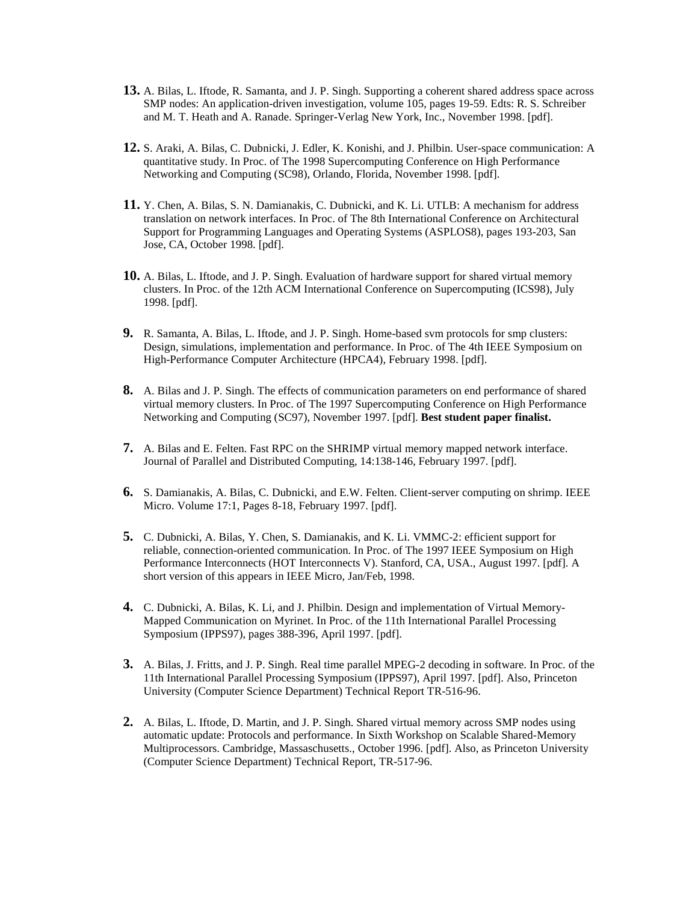- **13.** A. Bilas, L. Iftode, R. Samanta, and J. P. Singh. Supporting a coherent shared address space across SMP nodes: An application-driven investigation, volume 105, pages 19-59. Edts: R. S. Schreiber and M. T. Heath and A. Ranade. Springer-Verlag New York, Inc., November 1998. [pdf].
- **12.** S. Araki, A. Bilas, C. Dubnicki, J. Edler, K. Konishi, and J. Philbin. User-space communication: A quantitative study. In Proc. of The 1998 Supercomputing Conference on High Performance Networking and Computing (SC98), Orlando, Florida, November 1998. [pdf].
- **11.** Y. Chen, A. Bilas, S. N. Damianakis, C. Dubnicki, and K. Li. UTLB: A mechanism for address translation on network interfaces. In Proc. of The 8th International Conference on Architectural Support for Programming Languages and Operating Systems (ASPLOS8), pages 193-203, San Jose, CA, October 1998. [pdf].
- **10.** A. Bilas, L. Iftode, and J. P. Singh. Evaluation of hardware support for shared virtual memory clusters. In Proc. of the 12th ACM International Conference on Supercomputing (ICS98), July 1998. [pdf].
- **9.** R. Samanta, A. Bilas, L. Iftode, and J. P. Singh. Home-based svm protocols for smp clusters: Design, simulations, implementation and performance. In Proc. of The 4th IEEE Symposium on High-Performance Computer Architecture (HPCA4), February 1998. [pdf].
- **8.** A. Bilas and J. P. Singh. The effects of communication parameters on end performance of shared virtual memory clusters. In Proc. of The 1997 Supercomputing Conference on High Performance Networking and Computing (SC97), November 1997. [pdf]. **Best student paper finalist.**
- **7.** A. Bilas and E. Felten. Fast RPC on the SHRIMP virtual memory mapped network interface. Journal of Parallel and Distributed Computing, 14:138-146, February 1997. [pdf].
- **6.** S. Damianakis, A. Bilas, C. Dubnicki, and E.W. Felten. Client-server computing on shrimp. IEEE Micro. Volume 17:1, Pages 8-18, February 1997. [pdf].
- **5.** C. Dubnicki, A. Bilas, Y. Chen, S. Damianakis, and K. Li. VMMC-2: efficient support for reliable, connection-oriented communication. In Proc. of The 1997 IEEE Symposium on High Performance Interconnects (HOT Interconnects V). Stanford, CA, USA., August 1997. [pdf]. A short version of this appears in IEEE Micro, Jan/Feb, 1998.
- **4.** C. Dubnicki, A. Bilas, K. Li, and J. Philbin. Design and implementation of Virtual Memory-Mapped Communication on Myrinet. In Proc. of the 11th International Parallel Processing Symposium (IPPS97), pages 388-396, April 1997. [pdf].
- **3.** A. Bilas, J. Fritts, and J. P. Singh. Real time parallel MPEG-2 decoding in software. In Proc. of the 11th International Parallel Processing Symposium (IPPS97), April 1997. [pdf]. Also, Princeton University (Computer Science Department) Technical Report TR-516-96.
- **2.** A. Bilas, L. Iftode, D. Martin, and J. P. Singh. Shared virtual memory across SMP nodes using automatic update: Protocols and performance. In Sixth Workshop on Scalable Shared-Memory Multiprocessors. Cambridge, Massaschusetts., October 1996. [pdf]. Also, as Princeton University (Computer Science Department) Technical Report, TR-517-96.